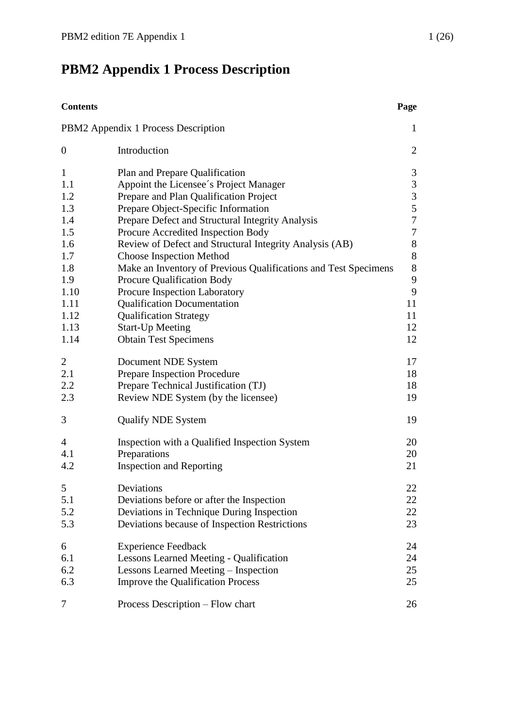# <span id="page-0-0"></span>**PBM2 Appendix 1 Process Description**

| <b>Contents</b>  |                                                                 | Page           |
|------------------|-----------------------------------------------------------------|----------------|
|                  | PBM2 Appendix 1 Process Description                             | $\mathbf{1}$   |
| $\boldsymbol{0}$ | Introduction                                                    | $\overline{2}$ |
| $\mathbf{1}$     | Plan and Prepare Qualification                                  | 3              |
| 1.1              | Appoint the Licensee's Project Manager                          | 3              |
| 1.2              | Prepare and Plan Qualification Project                          | $\overline{3}$ |
| 1.3              | Prepare Object-Specific Information                             | 5              |
| 1.4              | Prepare Defect and Structural Integrity Analysis                | $\overline{7}$ |
| 1.5              | Procure Accredited Inspection Body                              | $\tau$         |
| 1.6              | Review of Defect and Structural Integrity Analysis (AB)         | $8\,$          |
| 1.7              | Choose Inspection Method                                        | $8\,$          |
| 1.8              | Make an Inventory of Previous Qualifications and Test Specimens | $8\,$          |
| 1.9              | Procure Qualification Body                                      | $\mathbf{9}$   |
| 1.10             | Procure Inspection Laboratory                                   | 9              |
| 1.11             | <b>Qualification Documentation</b>                              | 11             |
| 1.12             | <b>Qualification Strategy</b>                                   | 11             |
| 1.13             | <b>Start-Up Meeting</b>                                         | 12             |
| 1.14             | <b>Obtain Test Specimens</b>                                    | 12             |
| $\overline{c}$   | Document NDE System                                             | 17             |
| 2.1              | Prepare Inspection Procedure                                    | 18             |
| 2.2              | Prepare Technical Justification (TJ)                            | 18             |
| 2.3              | Review NDE System (by the licensee)                             | 19             |
| 3                | <b>Qualify NDE System</b>                                       | 19             |
| 4                | Inspection with a Qualified Inspection System                   | 20             |
| 4.1              | Preparations                                                    | 20             |
| 4.2              | <b>Inspection and Reporting</b>                                 | 21             |
| 5                | Deviations                                                      | 22             |
| 5.1              | Deviations before or after the Inspection                       | 22             |
| 5.2              | Deviations in Technique During Inspection                       | 22             |
| 5.3              | Deviations because of Inspection Restrictions                   | 23             |
| 6                | <b>Experience Feedback</b>                                      | 24             |
| 6.1              | <b>Lessons Learned Meeting - Qualification</b>                  | 24             |
| 6.2              | Lessons Learned Meeting – Inspection                            | 25             |
| 6.3              | <b>Improve the Qualification Process</b>                        | 25             |
| 7                | Process Description - Flow chart                                | 26             |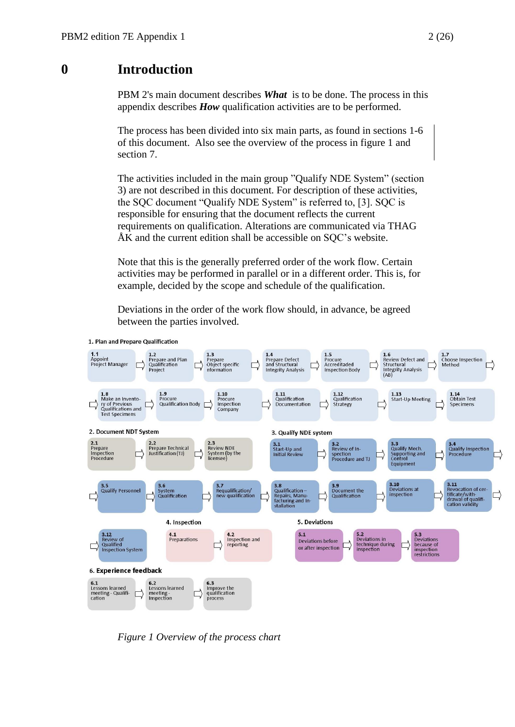# <span id="page-1-0"></span>**0 Introduction**

PBM 2's main document describes *What*is to be done. The process in this appendix describes *How* qualification activities are to be performed.

The process has been divided into six main parts, as found in sections 1-6 of this document. Also see the overview of the process in figure 1 and section 7.

The activities included in the main group "Qualify NDE System" (section 3) are not described in this document. For description of these activities, the SQC document "Qualify NDE System" is referred to, [3]. SQC is responsible for ensuring that the document reflects the current requirements on qualification. Alterations are communicated via THAG ÅK and the current edition shall be accessible on SQC's website.

Note that this is the generally preferred order of the work flow. Certain activities may be performed in parallel or in a different order. This is, for example, decided by the scope and schedule of the qualification.

Deviations in the order of the work flow should, in advance, be agreed between the parties involved.



1. Plan and Prepare Qualification

*Figure 1 Overview of the process chart*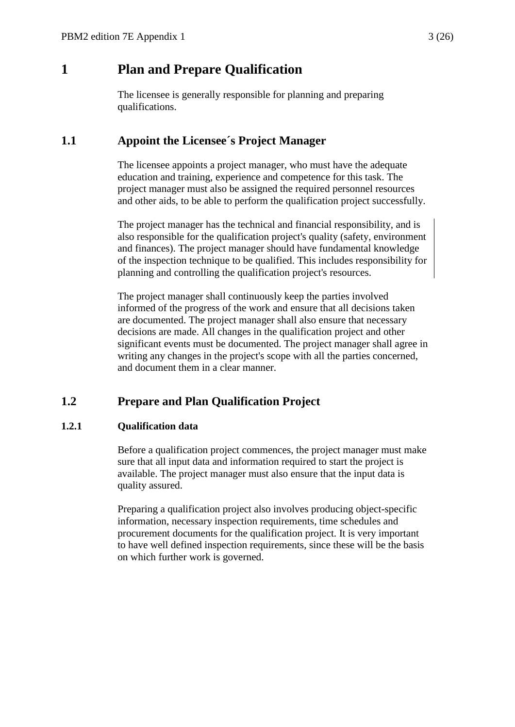# <span id="page-2-0"></span>**1 Plan and Prepare Qualification**

The licensee is generally responsible for planning and preparing qualifications.

# <span id="page-2-1"></span>**1.1 Appoint the Licensee´s Project Manager**

The licensee appoints a project manager, who must have the adequate education and training, experience and competence for this task. The project manager must also be assigned the required personnel resources and other aids, to be able to perform the qualification project successfully.

The project manager has the technical and financial responsibility, and is also responsible for the qualification project's quality (safety, environment and finances). The project manager should have fundamental knowledge of the inspection technique to be qualified. This includes responsibility for planning and controlling the qualification project's resources.

The project manager shall continuously keep the parties involved informed of the progress of the work and ensure that all decisions taken are documented. The project manager shall also ensure that necessary decisions are made. All changes in the qualification project and other significant events must be documented. The project manager shall agree in writing any changes in the project's scope with all the parties concerned, and document them in a clear manner.

# <span id="page-2-2"></span>**1.2 Prepare and Plan Qualification Project**

#### **1.2.1 Qualification data**

Before a qualification project commences, the project manager must make sure that all input data and information required to start the project is available. The project manager must also ensure that the input data is quality assured.

Preparing a qualification project also involves producing object-specific information, necessary inspection requirements, time schedules and procurement documents for the qualification project. It is very important to have well defined inspection requirements, since these will be the basis on which further work is governed.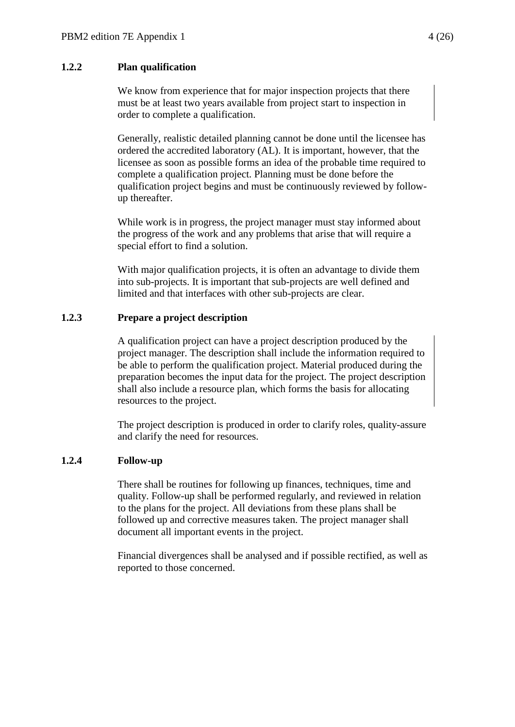#### **1.2.2 Plan qualification**

We know from experience that for major inspection projects that there must be at least two years available from project start to inspection in order to complete a qualification.

Generally, realistic detailed planning cannot be done until the licensee has ordered the accredited laboratory (AL). It is important, however, that the licensee as soon as possible forms an idea of the probable time required to complete a qualification project. Planning must be done before the qualification project begins and must be continuously reviewed by followup thereafter.

While work is in progress, the project manager must stay informed about the progress of the work and any problems that arise that will require a special effort to find a solution.

With major qualification projects, it is often an advantage to divide them into sub-projects. It is important that sub-projects are well defined and limited and that interfaces with other sub-projects are clear.

#### **1.2.3 Prepare a project description**

A qualification project can have a project description produced by the project manager. The description shall include the information required to be able to perform the qualification project. Material produced during the preparation becomes the input data for the project. The project description shall also include a resource plan, which forms the basis for allocating resources to the project.

The project description is produced in order to clarify roles, quality-assure and clarify the need for resources.

#### **1.2.4 Follow-up**

There shall be routines for following up finances, techniques, time and quality. Follow-up shall be performed regularly, and reviewed in relation to the plans for the project. All deviations from these plans shall be followed up and corrective measures taken. The project manager shall document all important events in the project.

Financial divergences shall be analysed and if possible rectified, as well as reported to those concerned.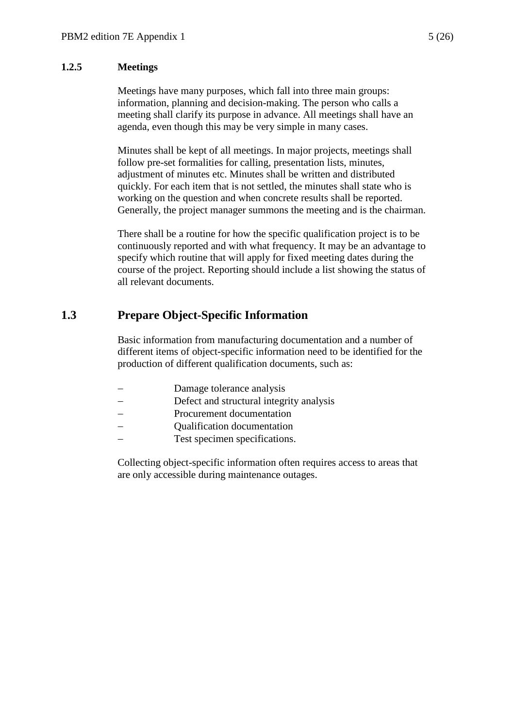#### **1.2.5 Meetings**

Meetings have many purposes, which fall into three main groups: information, planning and decision-making. The person who calls a meeting shall clarify its purpose in advance. All meetings shall have an agenda, even though this may be very simple in many cases.

Minutes shall be kept of all meetings. In major projects, meetings shall follow pre-set formalities for calling, presentation lists, minutes, adjustment of minutes etc. Minutes shall be written and distributed quickly. For each item that is not settled, the minutes shall state who is working on the question and when concrete results shall be reported. Generally, the project manager summons the meeting and is the chairman.

There shall be a routine for how the specific qualification project is to be continuously reported and with what frequency. It may be an advantage to specify which routine that will apply for fixed meeting dates during the course of the project. Reporting should include a list showing the status of all relevant documents.

### <span id="page-4-0"></span>**1.3 Prepare Object-Specific Information**

Basic information from manufacturing documentation and a number of different items of object-specific information need to be identified for the production of different qualification documents, such as:

- Damage tolerance analysis
- Defect and structural integrity analysis
- Procurement documentation
- Qualification documentation
- Test specimen specifications.

Collecting object-specific information often requires access to areas that are only accessible during maintenance outages.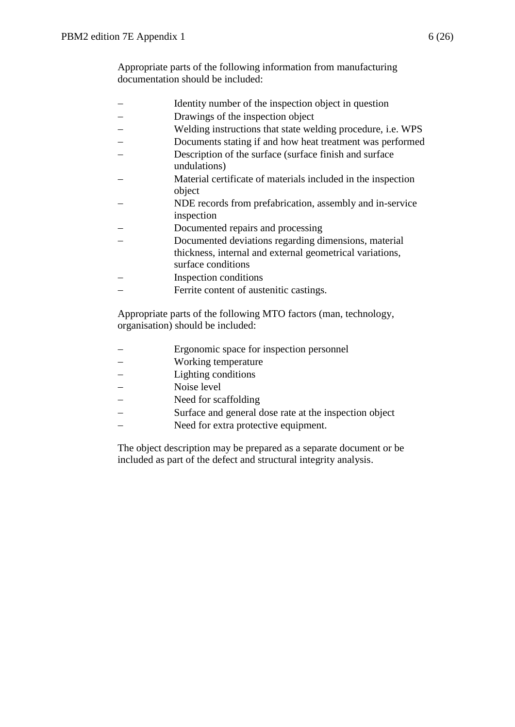Appropriate parts of the following information from manufacturing documentation should be included:

- Identity number of the inspection object in question
- Drawings of the inspection object
- Welding instructions that state welding procedure, i.e. WPS
- Documents stating if and how heat treatment was performed
- Description of the surface (surface finish and surface undulations)
- Material certificate of materials included in the inspection object
- NDE records from prefabrication, assembly and in-service inspection
- Documented repairs and processing
- Documented deviations regarding dimensions, material
- thickness, internal and external geometrical variations, surface conditions
- Inspection conditions
- Ferrite content of austenitic castings.

Appropriate parts of the following MTO factors (man, technology, organisation) should be included:

- Ergonomic space for inspection personnel
- Working temperature
- Lighting conditions
- Noise level
- Need for scaffolding
- Surface and general dose rate at the inspection object
- Need for extra protective equipment.

The object description may be prepared as a separate document or be included as part of the defect and structural integrity analysis.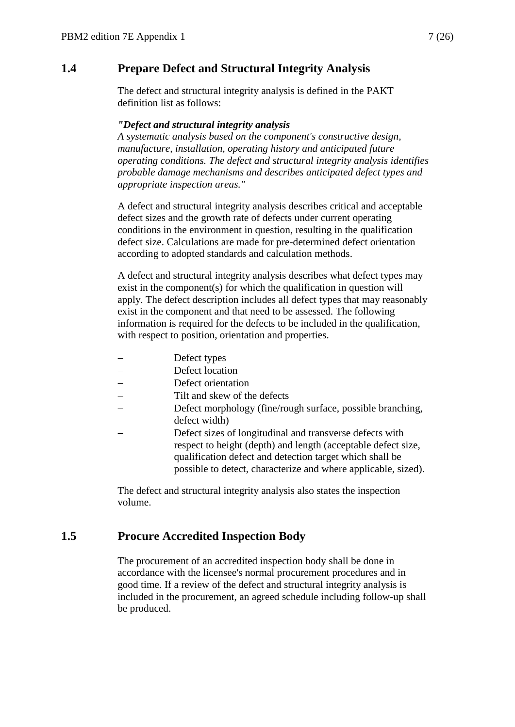# <span id="page-6-0"></span>**1.4 Prepare Defect and Structural Integrity Analysis**

The defect and structural integrity analysis is defined in the PAKT definition list as follows:

#### *"Defect and structural integrity analysis*

*A systematic analysis based on the component's constructive design, manufacture, installation, operating history and anticipated future operating conditions. The defect and structural integrity analysis identifies probable damage mechanisms and describes anticipated defect types and appropriate inspection areas."*

A defect and structural integrity analysis describes critical and acceptable defect sizes and the growth rate of defects under current operating conditions in the environment in question, resulting in the qualification defect size. Calculations are made for pre-determined defect orientation according to adopted standards and calculation methods.

A defect and structural integrity analysis describes what defect types may exist in the component(s) for which the qualification in question will apply. The defect description includes all defect types that may reasonably exist in the component and that need to be assessed. The following information is required for the defects to be included in the qualification, with respect to position, orientation and properties.

- Defect types
- Defect location
- Defect orientation
- Tilt and skew of the defects
- Defect morphology (fine/rough surface, possible branching, defect width)
- Defect sizes of longitudinal and transverse defects with respect to height (depth) and length (acceptable defect size, qualification defect and detection target which shall be possible to detect, characterize and where applicable, sized).

The defect and structural integrity analysis also states the inspection volume.

# <span id="page-6-1"></span>**1.5 Procure Accredited Inspection Body**

The procurement of an accredited inspection body shall be done in accordance with the licensee's normal procurement procedures and in good time. If a review of the defect and structural integrity analysis is included in the procurement, an agreed schedule including follow-up shall be produced.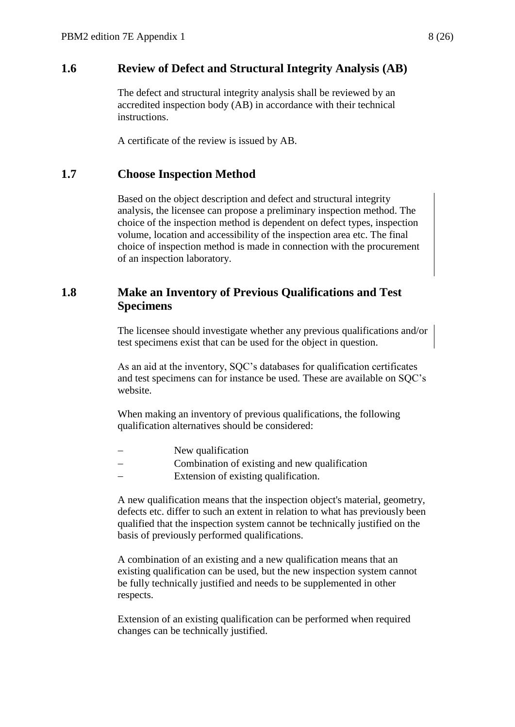### <span id="page-7-0"></span>**1.6 Review of Defect and Structural Integrity Analysis (AB)**

The defect and structural integrity analysis shall be reviewed by an accredited inspection body (AB) in accordance with their technical instructions.

A certificate of the review is issued by AB.

### <span id="page-7-1"></span>**1.7 Choose Inspection Method**

Based on the object description and defect and structural integrity analysis, the licensee can propose a preliminary inspection method. The choice of the inspection method is dependent on defect types, inspection volume, location and accessibility of the inspection area etc. The final choice of inspection method is made in connection with the procurement of an inspection laboratory.

### <span id="page-7-2"></span>**1.8 Make an Inventory of Previous Qualifications and Test Specimens**

The licensee should investigate whether any previous qualifications and/or test specimens exist that can be used for the object in question.

As an aid at the inventory, SQC's databases for qualification certificates and test specimens can for instance be used. These are available on SQC's website.

When making an inventory of previous qualifications, the following qualification alternatives should be considered:

- New qualification
- Combination of existing and new qualification
- Extension of existing qualification.

A new qualification means that the inspection object's material, geometry, defects etc. differ to such an extent in relation to what has previously been qualified that the inspection system cannot be technically justified on the basis of previously performed qualifications.

A combination of an existing and a new qualification means that an existing qualification can be used, but the new inspection system cannot be fully technically justified and needs to be supplemented in other respects.

Extension of an existing qualification can be performed when required changes can be technically justified.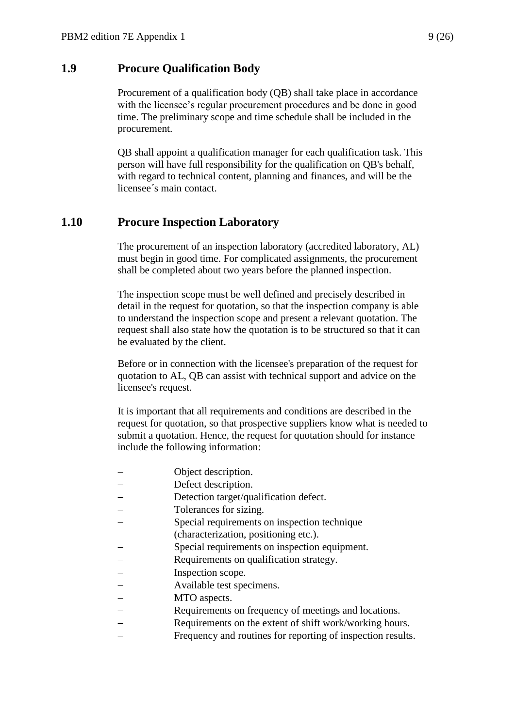#### <span id="page-8-0"></span>**1.9 Procure Qualification Body**

Procurement of a qualification body (QB) shall take place in accordance with the licensee's regular procurement procedures and be done in good time. The preliminary scope and time schedule shall be included in the procurement.

QB shall appoint a qualification manager for each qualification task. This person will have full responsibility for the qualification on QB's behalf, with regard to technical content, planning and finances, and will be the licensee´s main contact.

### <span id="page-8-1"></span>**1.10 Procure Inspection Laboratory**

The procurement of an inspection laboratory (accredited laboratory, AL) must begin in good time. For complicated assignments, the procurement shall be completed about two years before the planned inspection.

The inspection scope must be well defined and precisely described in detail in the request for quotation, so that the inspection company is able to understand the inspection scope and present a relevant quotation. The request shall also state how the quotation is to be structured so that it can be evaluated by the client.

Before or in connection with the licensee's preparation of the request for quotation to AL, QB can assist with technical support and advice on the licensee's request.

It is important that all requirements and conditions are described in the request for quotation, so that prospective suppliers know what is needed to submit a quotation. Hence, the request for quotation should for instance include the following information:

- Object description.
- Defect description.
- Detection target/qualification defect.
- Tolerances for sizing.
- Special requirements on inspection technique
- (characterization, positioning etc.).
- Special requirements on inspection equipment.
- Requirements on qualification strategy.
- Inspection scope.
- Available test specimens.
- MTO aspects.
- Requirements on frequency of meetings and locations.
- Requirements on the extent of shift work/working hours.
- Frequency and routines for reporting of inspection results.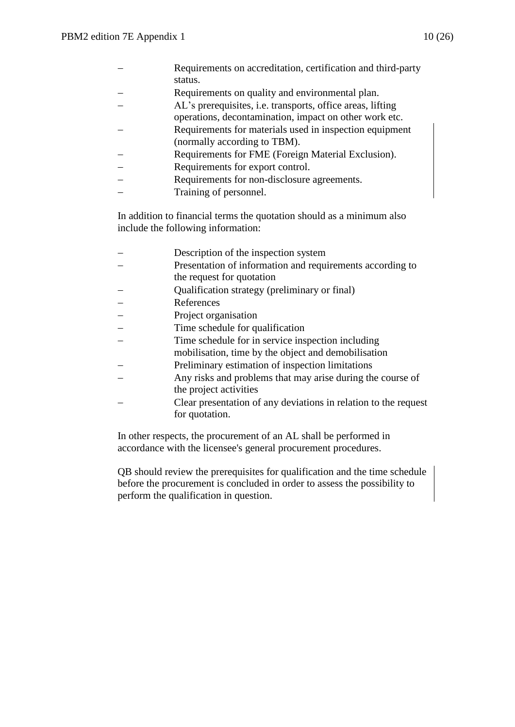| – | Requirements on accreditation, certification and third-party |
|---|--------------------------------------------------------------|
|   | status.                                                      |

- Requirements on quality and environmental plan.
- AL's prerequisites, i.e. transports, office areas, lifting
- operations, decontamination, impact on other work etc.
- Requirements for materials used in inspection equipment (normally according to TBM).
- Requirements for FME (Foreign Material Exclusion).
- Requirements for export control.
- Requirements for non-disclosure agreements.
- Training of personnel.

In addition to financial terms the quotation should as a minimum also include the following information:

| Description of the inspection system                            |
|-----------------------------------------------------------------|
| Presentation of information and requirements according to       |
| the request for quotation                                       |
| Qualification strategy (preliminary or final)                   |
| References                                                      |
| Project organisation                                            |
| Time schedule for qualification                                 |
| Time schedule for in service inspection including               |
| mobilisation, time by the object and demobilisation             |
| Preliminary estimation of inspection limitations                |
| Any risks and problems that may arise during the course of      |
| the project activities                                          |
| Clear presentation of any deviations in relation to the request |
| for quotation.                                                  |
|                                                                 |

In other respects, the procurement of an AL shall be performed in accordance with the licensee's general procurement procedures.

QB should review the prerequisites for qualification and the time schedule before the procurement is concluded in order to assess the possibility to perform the qualification in question.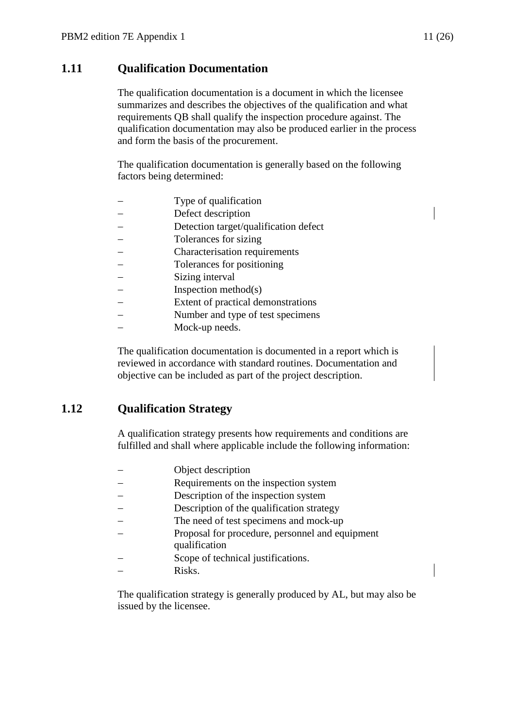# <span id="page-10-0"></span>**1.11 Qualification Documentation**

The qualification documentation is a document in which the licensee summarizes and describes the objectives of the qualification and what requirements QB shall qualify the inspection procedure against. The qualification documentation may also be produced earlier in the process and form the basis of the procurement.

The qualification documentation is generally based on the following factors being determined:

- Type of qualification
- Defect description
- Detection target/qualification defect
- Tolerances for sizing
- Characterisation requirements
- Tolerances for positioning
- Sizing interval
- Inspection method(s)
- Extent of practical demonstrations
- Number and type of test specimens
- Mock-up needs.

The qualification documentation is documented in a report which is reviewed in accordance with standard routines. Documentation and objective can be included as part of the project description.

# <span id="page-10-1"></span>**1.12 Qualification Strategy**

A qualification strategy presents how requirements and conditions are fulfilled and shall where applicable include the following information:

- Object description
- Requirements on the inspection system
- Description of the inspection system
- Description of the qualification strategy
- The need of test specimens and mock-up
- Proposal for procedure, personnel and equipment qualification
- Scope of technical justifications.
- Risks.

The qualification strategy is generally produced by AL, but may also be issued by the licensee.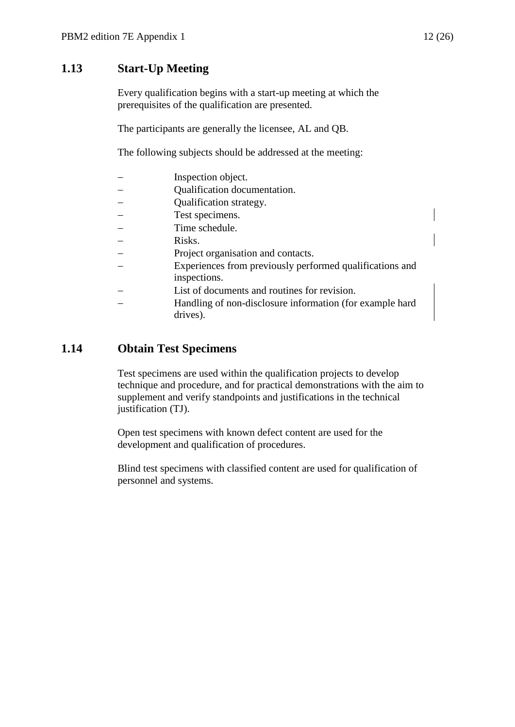# <span id="page-11-0"></span>**1.13 Start-Up Meeting**

Every qualification begins with a start-up meeting at which the prerequisites of the qualification are presented.

The participants are generally the licensee, AL and QB.

The following subjects should be addressed at the meeting:

| Inspection object.                                       |
|----------------------------------------------------------|
| Qualification documentation.                             |
| Qualification strategy.                                  |
| Test specimens.                                          |
| Time schedule.                                           |
| Risks.                                                   |
| Project organisation and contacts.                       |
| Experiences from previously performed qualifications and |
| inspections.                                             |
| List of documents and routines for revision.             |
| Handling of non-disclosure information (for example hard |
| drives).                                                 |

# <span id="page-11-1"></span>**1.14 Obtain Test Specimens**

Test specimens are used within the qualification projects to develop technique and procedure, and for practical demonstrations with the aim to supplement and verify standpoints and justifications in the technical justification (TJ).

Open test specimens with known defect content are used for the development and qualification of procedures.

Blind test specimens with classified content are used for qualification of personnel and systems.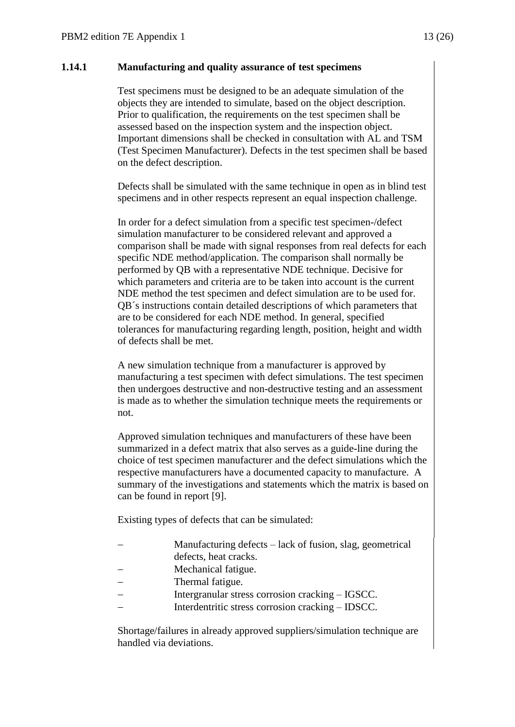#### **1.14.1 Manufacturing and quality assurance of test specimens**

Test specimens must be designed to be an adequate simulation of the objects they are intended to simulate, based on the object description. Prior to qualification, the requirements on the test specimen shall be assessed based on the inspection system and the inspection object. Important dimensions shall be checked in consultation with AL and TSM (Test Specimen Manufacturer). Defects in the test specimen shall be based on the defect description.

Defects shall be simulated with the same technique in open as in blind test specimens and in other respects represent an equal inspection challenge.

In order for a defect simulation from a specific test specimen-/defect simulation manufacturer to be considered relevant and approved a comparison shall be made with signal responses from real defects for each specific NDE method/application. The comparison shall normally be performed by QB with a representative NDE technique. Decisive for which parameters and criteria are to be taken into account is the current NDE method the test specimen and defect simulation are to be used for. QB´s instructions contain detailed descriptions of which parameters that are to be considered for each NDE method. In general, specified tolerances for manufacturing regarding length, position, height and width of defects shall be met.

A new simulation technique from a manufacturer is approved by manufacturing a test specimen with defect simulations. The test specimen then undergoes destructive and non-destructive testing and an assessment is made as to whether the simulation technique meets the requirements or not.

Approved simulation techniques and manufacturers of these have been summarized in a defect matrix that also serves as a guide-line during the choice of test specimen manufacturer and the defect simulations which the respective manufacturers have a documented capacity to manufacture. A summary of the investigations and statements which the matrix is based on can be found in report [9].

Existing types of defects that can be simulated:

- Manufacturing defects lack of fusion, slag, geometrical defects, heat cracks.
- Mechanical fatigue.
- Thermal fatigue.
- Intergranular stress corrosion cracking IGSCC.
- Interdentritic stress corrosion cracking IDSCC.

Shortage/failures in already approved suppliers/simulation technique are handled via deviations.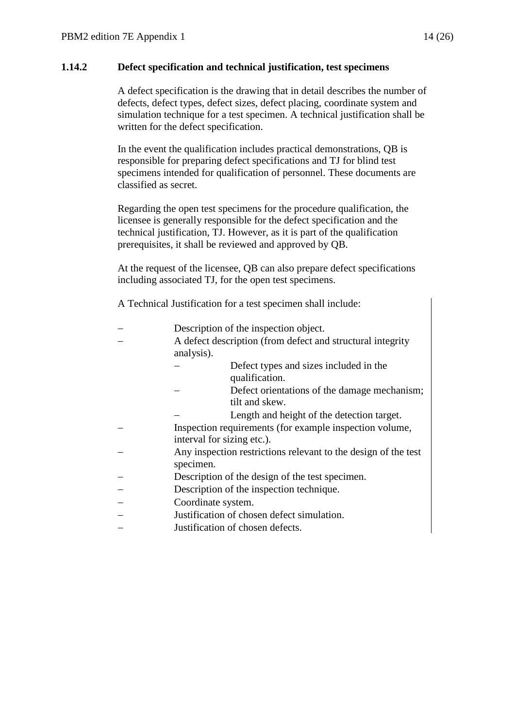#### **1.14.2 Defect specification and technical justification, test specimens**

A defect specification is the drawing that in detail describes the number of defects, defect types, defect sizes, defect placing, coordinate system and simulation technique for a test specimen. A technical justification shall be written for the defect specification.

In the event the qualification includes practical demonstrations, QB is responsible for preparing defect specifications and TJ for blind test specimens intended for qualification of personnel. These documents are classified as secret.

Regarding the open test specimens for the procedure qualification, the licensee is generally responsible for the defect specification and the technical justification, TJ. However, as it is part of the qualification prerequisites, it shall be reviewed and approved by QB.

At the request of the licensee, QB can also prepare defect specifications including associated TJ, for the open test specimens.

A Technical Justification for a test specimen shall include:

| Description of the inspection object.                                                 |
|---------------------------------------------------------------------------------------|
| A defect description (from defect and structural integrity<br>analysis).              |
| Defect types and sizes included in the<br>qualification.                              |
| Defect orientations of the damage mechanism;<br>tilt and skew.                        |
| Length and height of the detection target.                                            |
| Inspection requirements (for example inspection volume,<br>interval for sizing etc.). |
| Any inspection restrictions relevant to the design of the test<br>specimen.           |
| Description of the design of the test specimen.                                       |
| Description of the inspection technique.                                              |
| Coordinate system.                                                                    |
| Justification of chosen defect simulation.                                            |
| Justification of chosen defects.                                                      |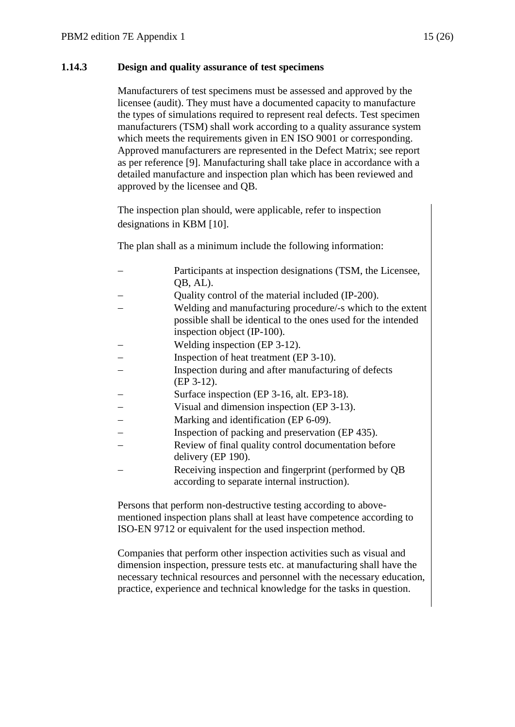#### **1.14.3 Design and quality assurance of test specimens**

Manufacturers of test specimens must be assessed and approved by the licensee (audit). They must have a documented capacity to manufacture the types of simulations required to represent real defects. Test specimen manufacturers (TSM) shall work according to a quality assurance system which meets the requirements given in EN ISO 9001 or corresponding. Approved manufacturers are represented in the Defect Matrix; see report as per reference [9]. Manufacturing shall take place in accordance with a detailed manufacture and inspection plan which has been reviewed and approved by the licensee and QB.

The inspection plan should, were applicable, refer to inspection designations in KBM [10].

The plan shall as a minimum include the following information:

| Participants at inspection designations (TSM, the Licensee,   |
|---------------------------------------------------------------|
| QB, AL).                                                      |
| Quality control of the material included (IP-200).            |
| Welding and manufacturing procedure/-s which to the extent    |
| possible shall be identical to the ones used for the intended |
| inspection object (IP-100).                                   |
| Welding inspection (EP 3-12).                                 |
| Inspection of heat treatment (EP 3-10).                       |
| $\mathbf{r}$ , the state of $\mathbf{r}$                      |

- Inspection during and after manufacturing of defects (EP 3-12).
- Surface inspection (EP 3-16, alt. EP3-18).
- Visual and dimension inspection (EP 3-13).
- Marking and identification (EP 6-09).
- Inspection of packing and preservation (EP 435).
- Review of final quality control documentation before delivery (EP 190).
- Receiving inspection and fingerprint (performed by QB according to separate internal instruction).

Persons that perform non-destructive testing according to abovementioned inspection plans shall at least have competence according to ISO-EN 9712 or equivalent for the used inspection method.

Companies that perform other inspection activities such as visual and dimension inspection, pressure tests etc. at manufacturing shall have the necessary technical resources and personnel with the necessary education, practice, experience and technical knowledge for the tasks in question.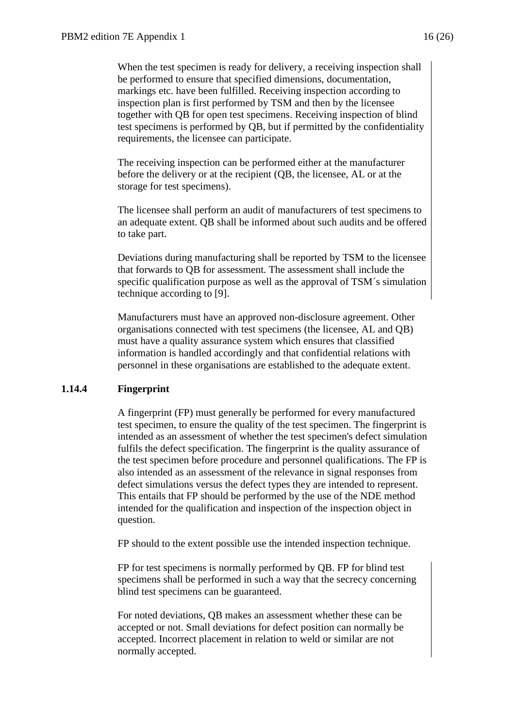When the test specimen is ready for delivery, a receiving inspection shall be performed to ensure that specified dimensions, documentation, markings etc. have been fulfilled. Receiving inspection according to inspection plan is first performed by TSM and then by the licensee together with QB for open test specimens. Receiving inspection of blind test specimens is performed by QB, but if permitted by the confidentiality requirements, the licensee can participate.

The receiving inspection can be performed either at the manufacturer before the delivery or at the recipient (QB, the licensee, AL or at the storage for test specimens).

The licensee shall perform an audit of manufacturers of test specimens to an adequate extent. QB shall be informed about such audits and be offered to take part.

Deviations during manufacturing shall be reported by TSM to the licensee that forwards to QB for assessment. The assessment shall include the specific qualification purpose as well as the approval of TSM´s simulation technique according to [9].

Manufacturers must have an approved non-disclosure agreement. Other organisations connected with test specimens (the licensee, AL and QB) must have a quality assurance system which ensures that classified information is handled accordingly and that confidential relations with personnel in these organisations are established to the adequate extent.

#### **1.14.4 Fingerprint**

A fingerprint (FP) must generally be performed for every manufactured test specimen, to ensure the quality of the test specimen. The fingerprint is intended as an assessment of whether the test specimen's defect simulation fulfils the defect specification. The fingerprint is the quality assurance of the test specimen before procedure and personnel qualifications. The FP is also intended as an assessment of the relevance in signal responses from defect simulations versus the defect types they are intended to represent. This entails that FP should be performed by the use of the NDE method intended for the qualification and inspection of the inspection object in question.

FP should to the extent possible use the intended inspection technique.

FP for test specimens is normally performed by QB. FP for blind test specimens shall be performed in such a way that the secrecy concerning blind test specimens can be guaranteed.

For noted deviations, QB makes an assessment whether these can be accepted or not. Small deviations for defect position can normally be accepted. Incorrect placement in relation to weld or similar are not normally accepted.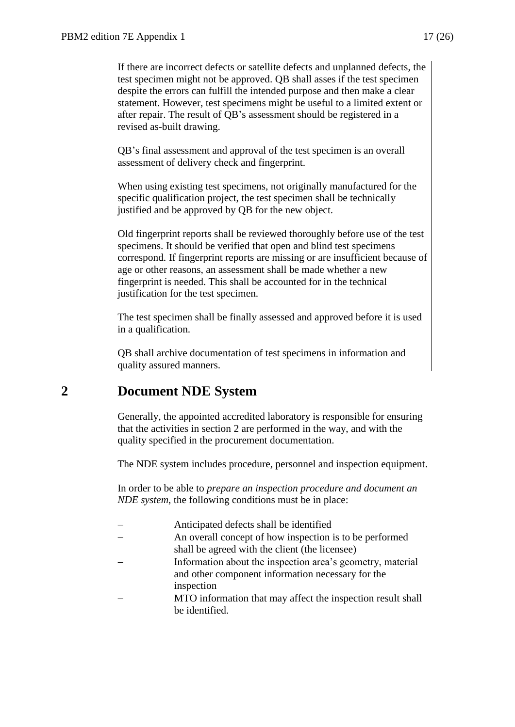If there are incorrect defects or satellite defects and unplanned defects, the test specimen might not be approved. QB shall asses if the test specimen despite the errors can fulfill the intended purpose and then make a clear statement. However, test specimens might be useful to a limited extent or after repair. The result of QB's assessment should be registered in a revised as-built drawing.

QB's final assessment and approval of the test specimen is an overall assessment of delivery check and fingerprint.

When using existing test specimens, not originally manufactured for the specific qualification project, the test specimen shall be technically justified and be approved by QB for the new object.

Old fingerprint reports shall be reviewed thoroughly before use of the test specimens. It should be verified that open and blind test specimens correspond. If fingerprint reports are missing or are insufficient because of age or other reasons, an assessment shall be made whether a new fingerprint is needed. This shall be accounted for in the technical justification for the test specimen.

The test specimen shall be finally assessed and approved before it is used in a qualification.

QB shall archive documentation of test specimens in information and quality assured manners.

# <span id="page-16-0"></span>**2 Document NDE System**

Generally, the appointed accredited laboratory is responsible for ensuring that the activities in section 2 are performed in the way, and with the quality specified in the procurement documentation.

The NDE system includes procedure, personnel and inspection equipment.

In order to be able to *prepare an inspection procedure and document an NDE system*, the following conditions must be in place:

| Anticipated defects shall be identified                                                                         |
|-----------------------------------------------------------------------------------------------------------------|
| An overall concept of how inspection is to be performed<br>shall be agreed with the client (the licensee)       |
| Information about the inspection area's geometry, material<br>and other component information necessary for the |
| inspection                                                                                                      |
| MTO information that may affect the inspection result shall                                                     |
| be identified.                                                                                                  |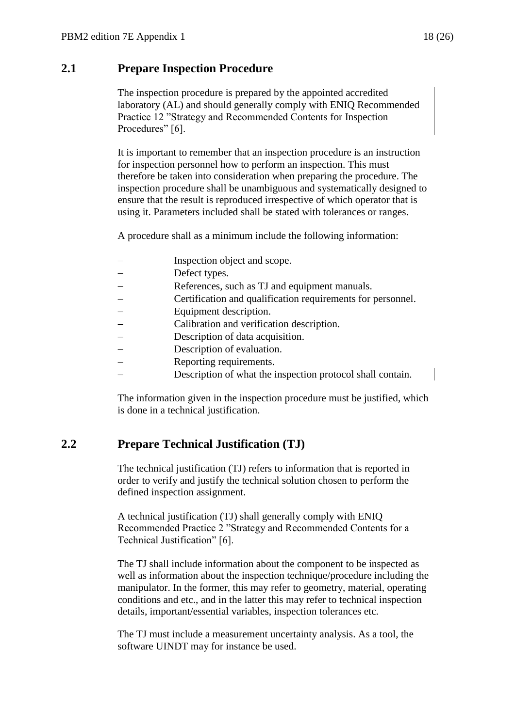# <span id="page-17-0"></span>**2.1 Prepare Inspection Procedure**

The inspection procedure is prepared by the appointed accredited laboratory (AL) and should generally comply with ENIQ Recommended Practice 12 "Strategy and Recommended Contents for Inspection Procedures" [6].

It is important to remember that an inspection procedure is an instruction for inspection personnel how to perform an inspection. This must therefore be taken into consideration when preparing the procedure. The inspection procedure shall be unambiguous and systematically designed to ensure that the result is reproduced irrespective of which operator that is using it. Parameters included shall be stated with tolerances or ranges.

A procedure shall as a minimum include the following information:

- Inspection object and scope.
- Defect types.
- References, such as TJ and equipment manuals.
- Certification and qualification requirements for personnel.
- Equipment description.
- Calibration and verification description.
- Description of data acquisition.
- Description of evaluation.
- Reporting requirements.
- Description of what the inspection protocol shall contain.

The information given in the inspection procedure must be justified, which is done in a technical justification.

# <span id="page-17-1"></span>**2.2 Prepare Technical Justification (TJ)**

The technical justification (TJ) refers to information that is reported in order to verify and justify the technical solution chosen to perform the defined inspection assignment.

A technical justification (TJ) shall generally comply with ENIQ Recommended Practice 2 "Strategy and Recommended Contents for a Technical Justification" [6].

The TJ shall include information about the component to be inspected as well as information about the inspection technique/procedure including the manipulator. In the former, this may refer to geometry, material, operating conditions and etc., and in the latter this may refer to technical inspection details, important/essential variables, inspection tolerances etc.

The TJ must include a measurement uncertainty analysis. As a tool, the software UINDT may for instance be used.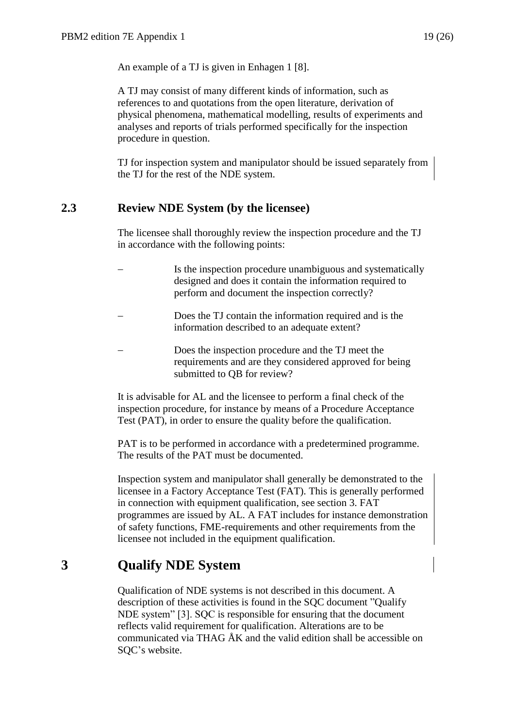An example of a TJ is given in Enhagen 1 [8].

A TJ may consist of many different kinds of information, such as references to and quotations from the open literature, derivation of physical phenomena, mathematical modelling, results of experiments and analyses and reports of trials performed specifically for the inspection procedure in question.

TJ for inspection system and manipulator should be issued separately from the TJ for the rest of the NDE system.

### <span id="page-18-0"></span>**2.3 Review NDE System (by the licensee)**

The licensee shall thoroughly review the inspection procedure and the TJ in accordance with the following points:

- Is the inspection procedure unambiguous and systematically designed and does it contain the information required to perform and document the inspection correctly?
- Does the TJ contain the information required and is the information described to an adequate extent?
- Does the inspection procedure and the TJ meet the requirements and are they considered approved for being submitted to QB for review?

It is advisable for AL and the licensee to perform a final check of the inspection procedure, for instance by means of a Procedure Acceptance Test (PAT), in order to ensure the quality before the qualification.

PAT is to be performed in accordance with a predetermined programme. The results of the PAT must be documented.

Inspection system and manipulator shall generally be demonstrated to the licensee in a Factory Acceptance Test (FAT). This is generally performed in connection with equipment qualification, see section 3. FAT programmes are issued by AL. A FAT includes for instance demonstration of safety functions, FME-requirements and other requirements from the licensee not included in the equipment qualification.

# <span id="page-18-1"></span>**3 Qualify NDE System**

Qualification of NDE systems is not described in this document. A description of these activities is found in the SQC document "Qualify NDE system" [3]. SQC is responsible for ensuring that the document reflects valid requirement for qualification. Alterations are to be communicated via THAG ÅK and the valid edition shall be accessible on SQC's website.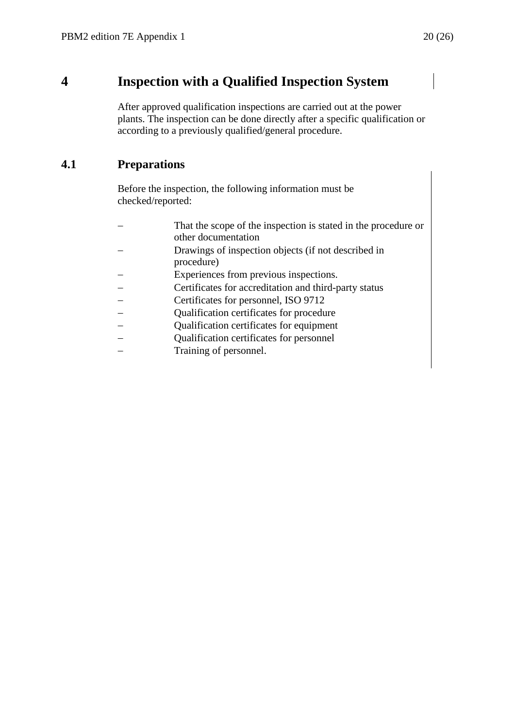# <span id="page-19-0"></span>**4 Inspection with a Qualified Inspection System**

After approved qualification inspections are carried out at the power plants. The inspection can be done directly after a specific qualification or according to a previously qualified/general procedure.

# <span id="page-19-1"></span>**4.1 Preparations**

Before the inspection, the following information must be checked/reported:

| That the scope of the inspection is stated in the procedure or<br>other documentation |
|---------------------------------------------------------------------------------------|
| Drawings of inspection objects (if not described in<br>procedure)                     |
| Experiences from previous inspections.                                                |
| Certificates for accreditation and third-party status                                 |
| Certificates for personnel, ISO 9712                                                  |
| Qualification certificates for procedure                                              |
| Qualification certificates for equipment                                              |
| Qualification certificates for personnel                                              |
| Training of personnel.                                                                |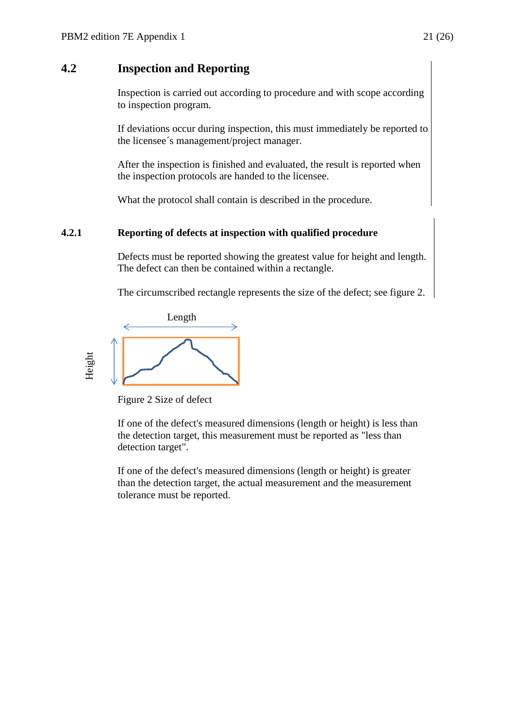### <span id="page-20-0"></span>**4.2 Inspection and Reporting**

Inspection is carried out according to procedure and with scope according to inspection program.

If deviations occur during inspection, this must immediately be reported to the licensee´s management/project manager.

After the inspection is finished and evaluated, the result is reported when the inspection protocols are handed to the licensee.

What the protocol shall contain is described in the procedure.

#### **4.2.1 Reporting of defects at inspection with qualified procedure**

Defects must be reported showing the greatest value for height and length. The defect can then be contained within a rectangle.

The circumscribed rectangle represents the size of the defect; see figure 2.



Figure 2 Size of defect

If one of the defect's measured dimensions (length or height) is less than the detection target, this measurement must be reported as "less than detection target".

If one of the defect's measured dimensions (length or height) is greater than the detection target, the actual measurement and the measurement tolerance must be reported.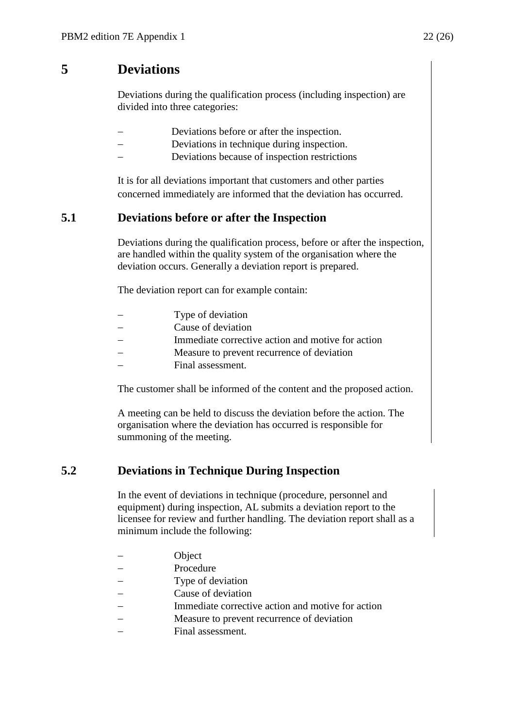# <span id="page-21-0"></span>**5 Deviations**

Deviations during the qualification process (including inspection) are divided into three categories:

- Deviations before or after the inspection.
- Deviations in technique during inspection.
- Deviations because of inspection restrictions

It is for all deviations important that customers and other parties concerned immediately are informed that the deviation has occurred.

### <span id="page-21-1"></span>**5.1 Deviations before or after the Inspection**

Deviations during the qualification process, before or after the inspection, are handled within the quality system of the organisation where the deviation occurs. Generally a deviation report is prepared.

The deviation report can for example contain:

| Type of deviation                                 |
|---------------------------------------------------|
| Cause of deviation                                |
| Immediate corrective action and motive for action |
| Measure to prevent recurrence of deviation        |
| Final assessment.                                 |
|                                                   |

The customer shall be informed of the content and the proposed action.

A meeting can be held to discuss the deviation before the action. The organisation where the deviation has occurred is responsible for summoning of the meeting.

### <span id="page-21-2"></span>**5.2 Deviations in Technique During Inspection**

In the event of deviations in technique (procedure, personnel and equipment) during inspection, AL submits a deviation report to the licensee for review and further handling. The deviation report shall as a minimum include the following:

- **Object**
- Procedure
- Type of deviation
- Cause of deviation
- Immediate corrective action and motive for action
- Measure to prevent recurrence of deviation
- Final assessment.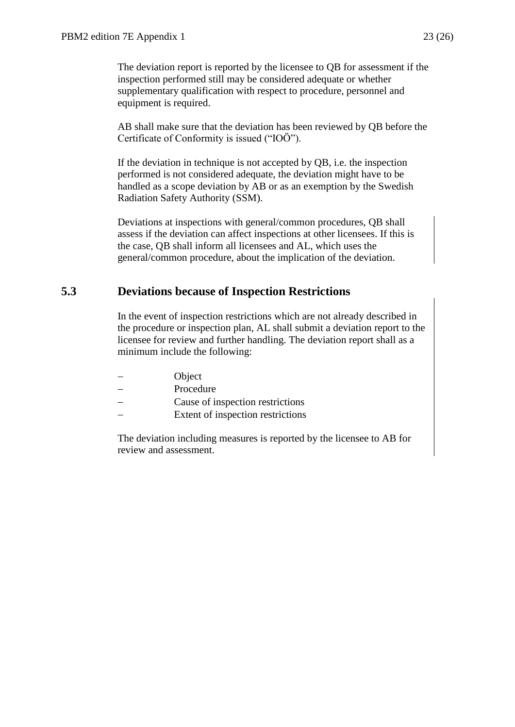The deviation report is reported by the licensee to QB for assessment if the inspection performed still may be considered adequate or whether supplementary qualification with respect to procedure, personnel and equipment is required.

AB shall make sure that the deviation has been reviewed by QB before the Certificate of Conformity is issued ("IOÖ").

If the deviation in technique is not accepted by QB, i.e. the inspection performed is not considered adequate, the deviation might have to be handled as a scope deviation by AB or as an exemption by the Swedish Radiation Safety Authority (SSM).

Deviations at inspections with general/common procedures, QB shall assess if the deviation can affect inspections at other licensees. If this is the case, QB shall inform all licensees and AL, which uses the general/common procedure, about the implication of the deviation.

# <span id="page-22-0"></span>**5.3 Deviations because of Inspection Restrictions**

In the event of inspection restrictions which are not already described in the procedure or inspection plan, AL shall submit a deviation report to the licensee for review and further handling. The deviation report shall as a minimum include the following:

- Object
- Procedure
- Cause of inspection restrictions
	- Extent of inspection restrictions

The deviation including measures is reported by the licensee to AB for review and assessment.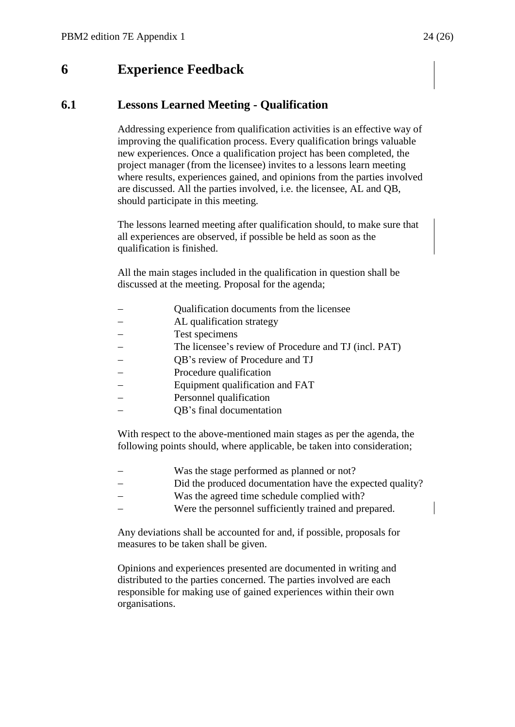# <span id="page-23-0"></span>**6 Experience Feedback**

### <span id="page-23-1"></span>**6.1 Lessons Learned Meeting - Qualification**

Addressing experience from qualification activities is an effective way of improving the qualification process. Every qualification brings valuable new experiences. Once a qualification project has been completed, the project manager (from the licensee) invites to a lessons learn meeting where results, experiences gained, and opinions from the parties involved are discussed. All the parties involved, i.e. the licensee, AL and QB, should participate in this meeting.

The lessons learned meeting after qualification should, to make sure that all experiences are observed, if possible be held as soon as the qualification is finished.

All the main stages included in the qualification in question shall be discussed at the meeting. Proposal for the agenda;

- Qualification documents from the licensee
- AL qualification strategy
- Test specimens
- The licensee's review of Procedure and TJ (incl. PAT)
- QB's review of Procedure and TJ
- Procedure qualification
- Equipment qualification and FAT
- Personnel qualification
- QB's final documentation

With respect to the above-mentioned main stages as per the agenda, the following points should, where applicable, be taken into consideration;

- Was the stage performed as planned or not?
- Did the produced documentation have the expected quality?
- Was the agreed time schedule complied with?
- Were the personnel sufficiently trained and prepared.

Any deviations shall be accounted for and, if possible, proposals for measures to be taken shall be given.

Opinions and experiences presented are documented in writing and distributed to the parties concerned. The parties involved are each responsible for making use of gained experiences within their own organisations.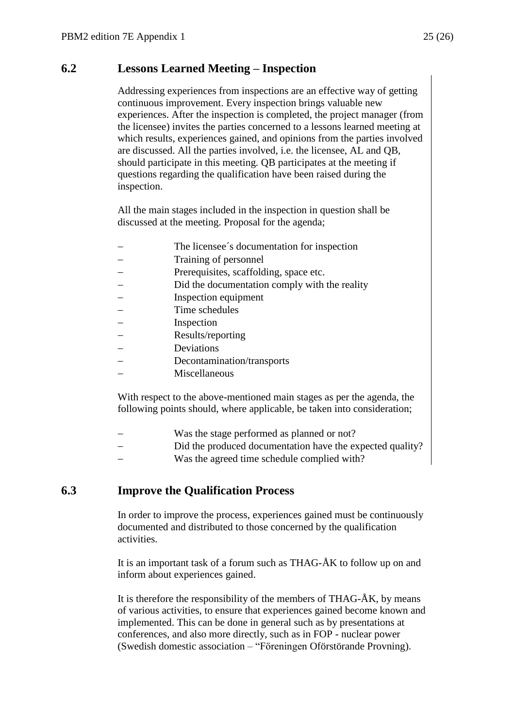# <span id="page-24-0"></span>**6.2 Lessons Learned Meeting – Inspection**

Addressing experiences from inspections are an effective way of getting continuous improvement. Every inspection brings valuable new experiences. After the inspection is completed, the project manager (from the licensee) invites the parties concerned to a lessons learned meeting at which results, experiences gained, and opinions from the parties involved are discussed. All the parties involved, i.e. the licensee, AL and QB, should participate in this meeting. QB participates at the meeting if questions regarding the qualification have been raised during the inspection.

All the main stages included in the inspection in question shall be discussed at the meeting. Proposal for the agenda;

- The licensee´s documentation for inspection
- Training of personnel
- Prerequisites, scaffolding, space etc.
- Did the documentation comply with the reality
- Inspection equipment
- Time schedules
- $-$  Inspection
- Results/reporting
- Deviations
- Decontamination/transports
- Miscellaneous

With respect to the above-mentioned main stages as per the agenda, the following points should, where applicable, be taken into consideration;

- Was the stage performed as planned or not?
- Did the produced documentation have the expected quality?
- Was the agreed time schedule complied with?

### <span id="page-24-1"></span>**6.3 Improve the Qualification Process**

In order to improve the process, experiences gained must be continuously documented and distributed to those concerned by the qualification activities.

It is an important task of a forum such as THAG-ÅK to follow up on and inform about experiences gained.

It is therefore the responsibility of the members of THAG- $AK$ , by means of various activities, to ensure that experiences gained become known and implemented. This can be done in general such as by presentations at conferences, and also more directly, such as in FOP - nuclear power (Swedish domestic association – "Föreningen Oförstörande Provning).